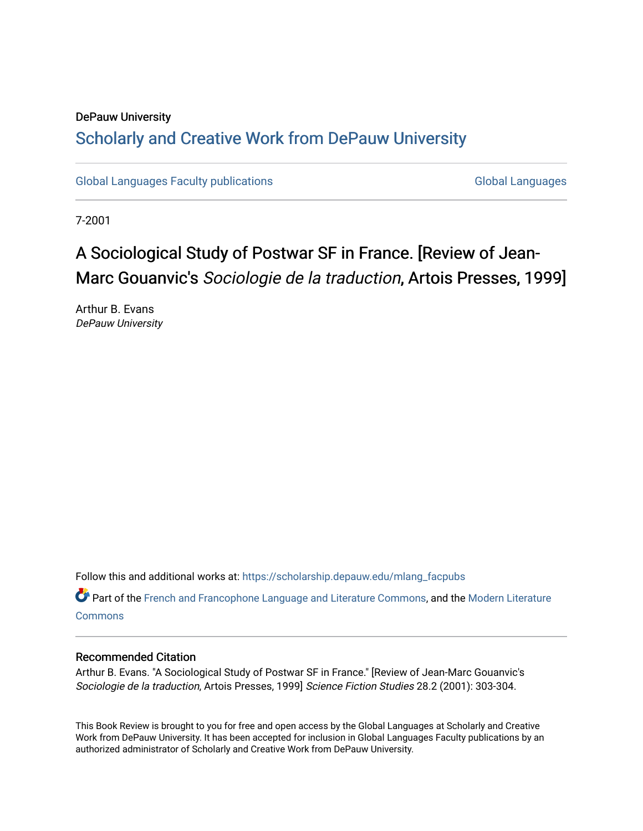### DePauw University Scholarly and [Creative Work from DePauw Univ](https://scholarship.depauw.edu/)ersity

[Global Languages Faculty publications](https://scholarship.depauw.edu/mlang_facpubs) [Global Languages](https://scholarship.depauw.edu/modernlanguages) Global Languages

7-2001

## A Sociological Study of Postwar SF in France. [Review of Jean-Marc Gouanvic's Sociologie de la traduction, Artois Presses, 1999]

Arthur B. Evans DePauw University

Follow this and additional works at: [https://scholarship.depauw.edu/mlang\\_facpubs](https://scholarship.depauw.edu/mlang_facpubs?utm_source=scholarship.depauw.edu%2Fmlang_facpubs%2F29&utm_medium=PDF&utm_campaign=PDFCoverPages)

Part of the [French and Francophone Language and Literature Commons,](https://network.bepress.com/hgg/discipline/463?utm_source=scholarship.depauw.edu%2Fmlang_facpubs%2F29&utm_medium=PDF&utm_campaign=PDFCoverPages) and the [Modern Literature](https://network.bepress.com/hgg/discipline/1050?utm_source=scholarship.depauw.edu%2Fmlang_facpubs%2F29&utm_medium=PDF&utm_campaign=PDFCoverPages) **[Commons](https://network.bepress.com/hgg/discipline/1050?utm_source=scholarship.depauw.edu%2Fmlang_facpubs%2F29&utm_medium=PDF&utm_campaign=PDFCoverPages)** 

#### Recommended Citation

Arthur B. Evans. "A Sociological Study of Postwar SF in France." [Review of Jean-Marc Gouanvic's Sociologie de la traduction, Artois Presses, 1999] Science Fiction Studies 28.2 (2001): 303-304.

This Book Review is brought to you for free and open access by the Global Languages at Scholarly and Creative Work from DePauw University. It has been accepted for inclusion in Global Languages Faculty publications by an authorized administrator of Scholarly and Creative Work from DePauw University.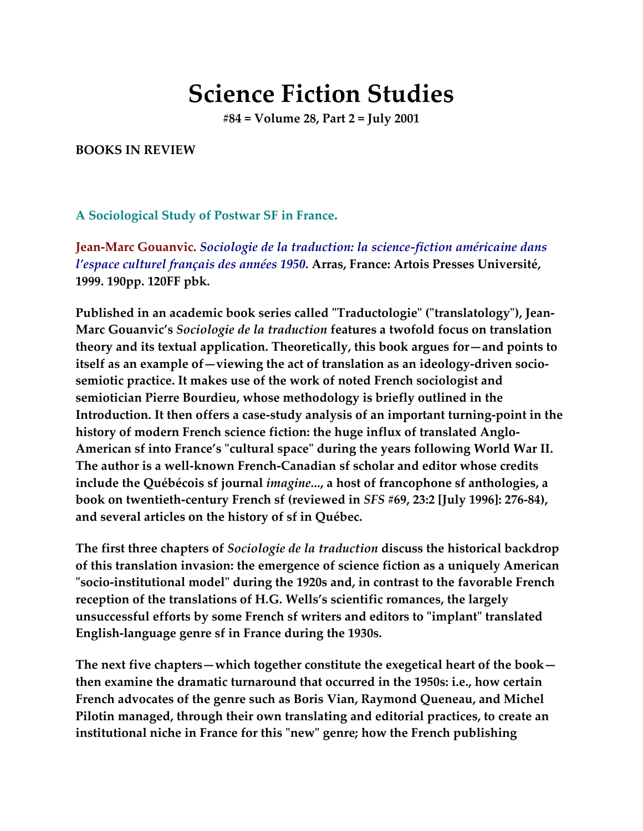# **Science Fiction Studies**

**#84 = Volume 28, Part 2 = July 2001**

#### **BOOKS IN REVIEW**

**A Sociological Study of Postwar SF in France.**

**Jean-Marc Gouanvic.** *Sociologie de la traduction: la science-fiction américaine dans l'espace culturel français des années 1950***. Arras, France: Artois Presses Université, 1999. 190pp. 120FF pbk.**

**Published in an academic book series called "Traductologie" ("translatology"), Jean-Marc Gouanvic's** *Sociologie de la traduction* **features a twofold focus on translation theory and its textual application. Theoretically, this book argues for—and points to itself as an example of—viewing the act of translation as an ideology-driven sociosemiotic practice. It makes use of the work of noted French sociologist and semiotician Pierre Bourdieu, whose methodology is briefly outlined in the Introduction. It then offers a case-study analysis of an important turning-point in the history of modern French science fiction: the huge influx of translated Anglo-American sf into France's "cultural space" during the years following World War II. The author is a well-known French-Canadian sf scholar and editor whose credits include the Québécois sf journal** *imagine...***, a host of francophone sf anthologies, a book on twentieth-century French sf (reviewed in** *SFS* **#69, 23:2 [July 1996]: 276-84), and several articles on the history of sf in Québec.**

**The first three chapters of** *Sociologie de la traduction* **discuss the historical backdrop of this translation invasion: the emergence of science fiction as a uniquely American "socio-institutional model" during the 1920s and, in contrast to the favorable French reception of the translations of H.G. Wells's scientific romances, the largely unsuccessful efforts by some French sf writers and editors to "implant" translated English-language genre sf in France during the 1930s.**

**The next five chapters—which together constitute the exegetical heart of the book then examine the dramatic turnaround that occurred in the 1950s: i.e., how certain French advocates of the genre such as Boris Vian, Raymond Queneau, and Michel Pilotin managed, through their own translating and editorial practices, to create an institutional niche in France for this "new" genre; how the French publishing**